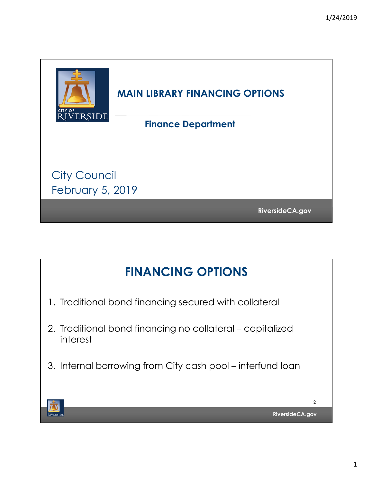

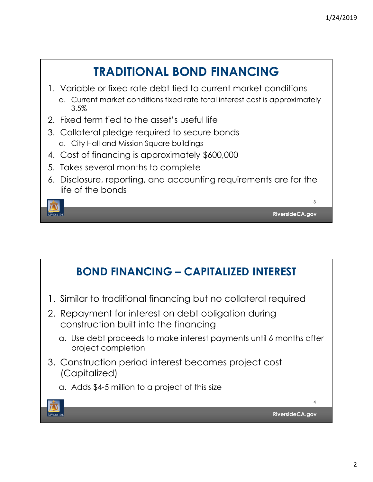

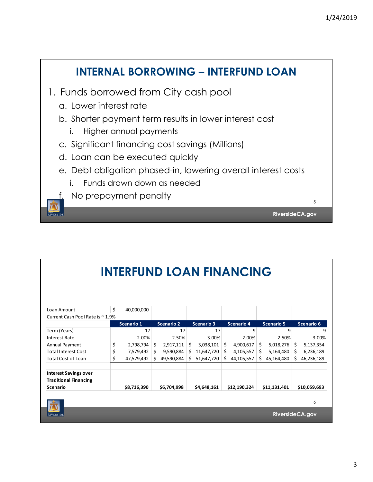## **INTERNAL BORROWING – INTERFUND LOAN** 1. Funds borrowed from City cash pool a. Lower interest rate b. Shorter payment term results in lower interest cost i. Higher annual payments c. Significant financing cost savings (Millions) d. Loan can be executed quickly e. Debt obligation phased-in, lowering overall interest costs i. Funds drawn down as needed f. No prepayment penalty 5 **RiversideCA.gov TVERSIDE**

|                                  |                  | <b>INTERFUND LOAN FINANCING</b> |    |                   |    |                   |    |              |    |                   |    |              |
|----------------------------------|------------------|---------------------------------|----|-------------------|----|-------------------|----|--------------|----|-------------------|----|--------------|
|                                  |                  |                                 |    |                   |    |                   |    |              |    |                   |    |              |
| Loan Amount                      | \$               | 40,000,000                      |    |                   |    |                   |    |              |    |                   |    |              |
| Current Cash Pool Rate is ~ 1.9% |                  |                                 |    |                   |    |                   |    |              |    |                   |    |              |
|                                  |                  | Scenario 1                      |    | <b>Scenario 2</b> |    | <b>Scenario 3</b> |    | Scenario 4   |    | <b>Scenario 5</b> |    | Scenario 6   |
| Term (Years)                     |                  | 17                              |    | 17                |    | 17                |    | 9            |    | 9                 |    | 9            |
| <b>Interest Rate</b>             |                  | 2.00%                           |    | 2.50%             |    | 3.00%             |    | 2.00%        |    | 2.50%             |    | 3.00%        |
| Annual Payment                   | \$               | 2,798,794                       | \$ | 2,917,111         | \$ | 3,038,101         | Ś. | 4,900,617    | Ś. | 5,018,276         | Ŝ. | 5,137,354    |
| <b>Total Interest Cost</b>       | \$               | 7,579,492                       | Ś. | 9,590,884         | Ś. | 11,647,720        | Ś  | 4,105,557    | \$ | 5,164,480         | \$ | 6,236,189    |
| <b>Total Cost of Loan</b>        | \$               | 47,579,492                      | Ś. | 49,590,884        | Ś  | 51,647,720        | Ś. | 44,105,557   | Ś  | 45,164,480        | Ś  | 46,236,189   |
| <b>Interest Savings over</b>     |                  |                                 |    |                   |    |                   |    |              |    |                   |    |              |
| <b>Traditional Financing</b>     |                  |                                 |    |                   |    |                   |    |              |    |                   |    |              |
| Scenario                         |                  | \$8,716,390                     |    | \$6,704,998       |    | \$4,648,161       |    | \$12,190,324 |    | \$11,131,401      |    | \$10,059,693 |
|                                  |                  |                                 |    |                   |    |                   |    |              |    |                   |    |              |
|                                  |                  |                                 |    |                   |    |                   |    |              |    |                   |    | 6            |
| <b>RIVERSIDE</b>                 | Riverside CA.gov |                                 |    |                   |    |                   |    |              |    |                   |    |              |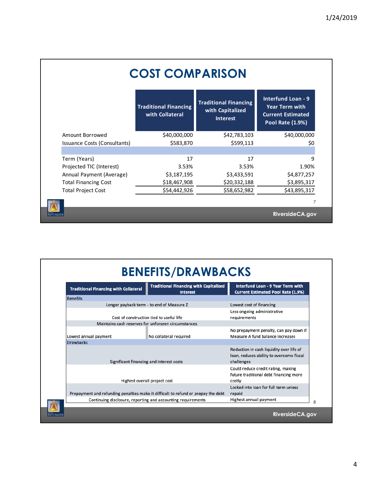|                              | <b>COST COMPARISON</b>                          |                                                                     |                                                                                                           |
|------------------------------|-------------------------------------------------|---------------------------------------------------------------------|-----------------------------------------------------------------------------------------------------------|
|                              | <b>Traditional Financing</b><br>with Collateral | <b>Traditional Financing</b><br>with Capitalized<br><b>Interest</b> | <b>Interfund Loan - 9</b><br><b>Year Term with</b><br><b>Current Estimated</b><br><b>Pool Rate (1.9%)</b> |
| Amount Borrowed              | \$40,000,000                                    | \$42,783,103                                                        | \$40,000,000                                                                                              |
| Issuance Costs (Consultants) | \$583,870                                       | \$599,113                                                           | \$0                                                                                                       |
|                              |                                                 |                                                                     |                                                                                                           |
| Term (Years)                 | 17                                              | 17                                                                  | 9                                                                                                         |
| Projected TIC (Interest)     | 3.53%                                           | 3.53%                                                               | 1.90%                                                                                                     |
| Annual Payment (Average)     | \$3,187,195                                     | \$3,433,591                                                         | \$4,877,257                                                                                               |
| <b>Total Financing Cost</b>  | \$18,467,908                                    | \$20,332,188                                                        | \$3,895,317                                                                                               |
| <b>Total Project Cost</b>    | \$54,442,926                                    | \$58,652,982                                                        | \$43,895,317                                                                                              |
|                              |                                                 |                                                                     | 7                                                                                                         |
|                              |                                                 |                                                                     | Riverside CA.gov                                                                                          |

| <b>Traditional Financing with Collateral</b>                                      | <b>Traditional Financing with Capitalized</b><br><b>Interest</b> | Interfund Loan - 9 Year Term with<br><b>Current Estimated Pool Rate (1.9%)</b>                     |  |
|-----------------------------------------------------------------------------------|------------------------------------------------------------------|----------------------------------------------------------------------------------------------------|--|
| <b>Benefits</b>                                                                   |                                                                  |                                                                                                    |  |
| Longer payback term - to end of Measure Z                                         | Lowest cost of financing                                         |                                                                                                    |  |
|                                                                                   | Cost of construction tied to useful life                         | Less ongoing administrative<br>requirements                                                        |  |
|                                                                                   | Maintains cash reserves for unforseen circumstances              |                                                                                                    |  |
| Lowest annual payment                                                             | No collateral required                                           | No prepayment penalty, can pay down if<br>Measure A fund balance increases                         |  |
| <b>Drawbacks</b>                                                                  |                                                                  |                                                                                                    |  |
|                                                                                   | Significant financing and interest costs                         | Reduction in cash liquidity over life of<br>loan, reduces ability to overcome fiscal<br>challenges |  |
|                                                                                   | Highest overall project cost                                     | Could reduce credit rating, making<br>future traditional debt financing more<br>costly             |  |
|                                                                                   |                                                                  | Locked into loan for full term unless                                                              |  |
| Prepayment and refunding penalties make it difficult to refund or prepay the debt | repaid                                                           |                                                                                                    |  |
| Continuing disclosure, reporting and accounting requirements                      | Highest annual payment                                           |                                                                                                    |  |